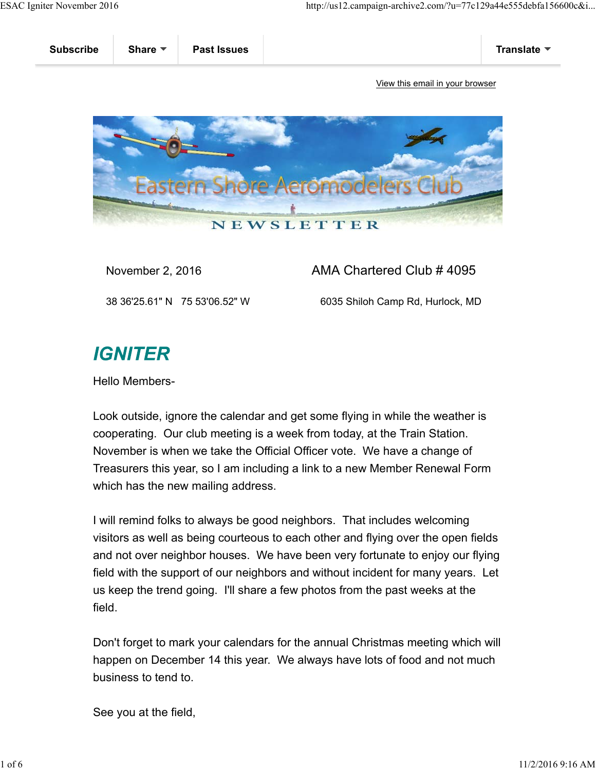

November 2, 2016 **AMA Chartered Club # 4095** 

38 36'25.61" N 75 53'06.52" W 6035 Shiloh Camp Rd, Hurlock, MD

## **IGNITER**

Hello Members-

Look outside, ignore the calendar and get some flying in while the weather is cooperating. Our club meeting is a week from today, at the Train Station. November is when we take the Official Officer vote. We have a change of Treasurers this year, so I am including a link to a new Member Renewal Form which has the new mailing address.

I will remind folks to always be good neighbors. That includes welcoming visitors as well as being courteous to each other and flying over the open fields and not over neighbor houses. We have been very fortunate to enjoy our flying field with the support of our neighbors and without incident for many years. Let us keep the trend going. I'll share a few photos from the past weeks at the field.

Don't forget to mark your calendars for the annual Christmas meeting which will happen on December 14 this year. We always have lots of food and not much business to tend to.

See you at the field,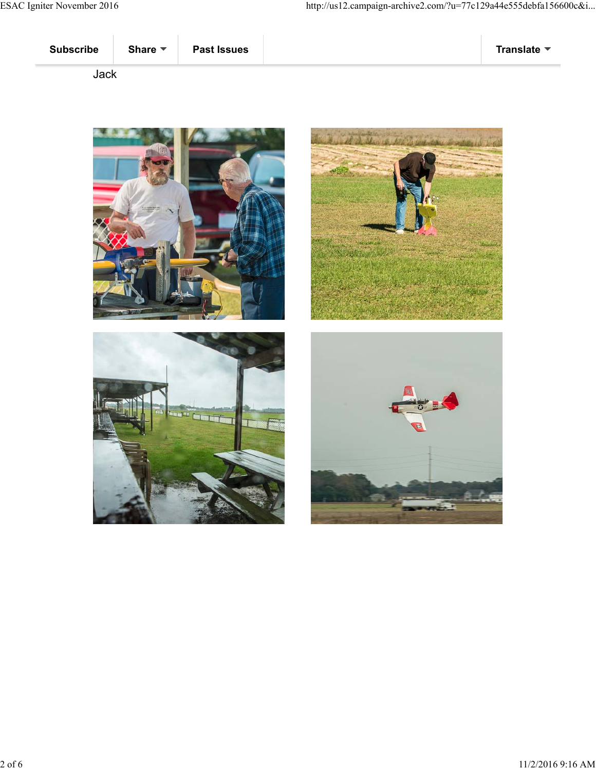





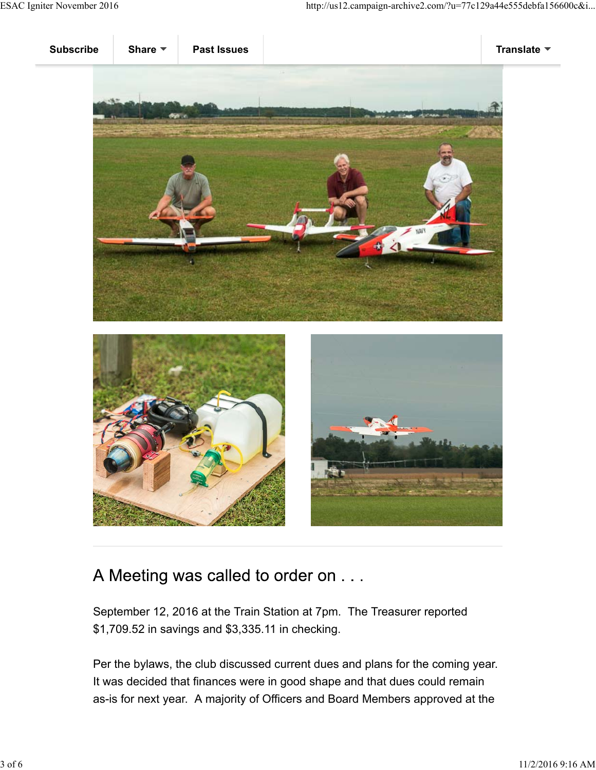





## A Meeting was called to order on . . .

September 12, 2016 at the Train Station at 7pm. The Treasurer reported \$1,709.52 in savings and \$3,335.11 in checking.

Per the bylaws, the club discussed current dues and plans for the coming year. It was decided that finances were in good shape and that dues could remain as-is for next year. A majority of Officers and Board Members approved at the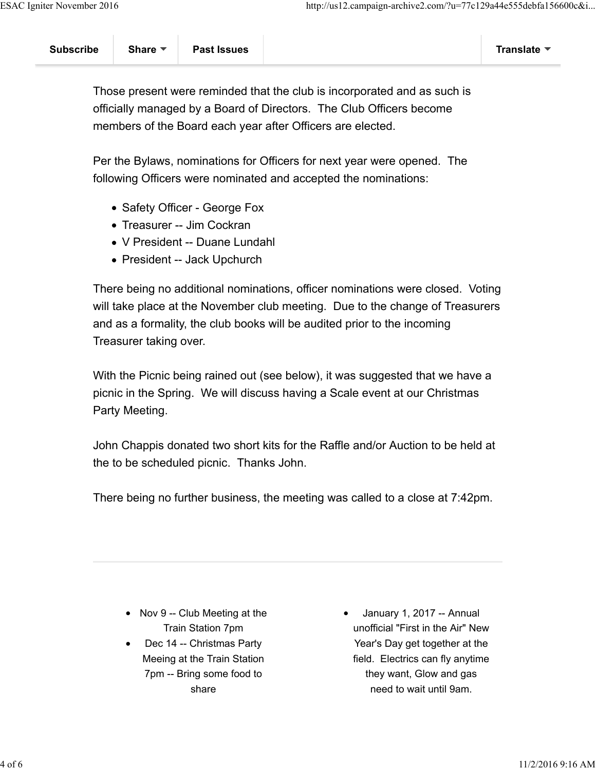Those present were reminded that the club is incorporated and as such is officially managed by a Board of Directors. The Club Officers become members of the Board each year after Officers are elected.

Per the Bylaws, nominations for Officers for next year were opened. The following Officers were nominated and accepted the nominations:

- Safety Officer George Fox
- Treasurer -- Jim Cockran
- V President -- Duane Lundahl
- President -- Jack Upchurch

There being no additional nominations, officer nominations were closed. Voting will take place at the November club meeting. Due to the change of Treasurers and as a formality, the club books will be audited prior to the incoming Treasurer taking over.

With the Picnic being rained out (see below), it was suggested that we have a picnic in the Spring. We will discuss having a Scale event at our Christmas Party Meeting.

John Chappis donated two short kits for the Raffle and/or Auction to be held at the to be scheduled picnic. Thanks John.

There being no further business, the meeting was called to a close at 7:42pm.

- Nov 9 -- Club Meeting at the Train Station 7pm
- Dec 14 -- Christmas Party Meeing at the Train Station 7pm -- Bring some food to share

January 1, 2017 -- Annual unofficial "First in the Air" New Year's Day get together at the field. Electrics can fly anytime they want, Glow and gas need to wait until 9am.